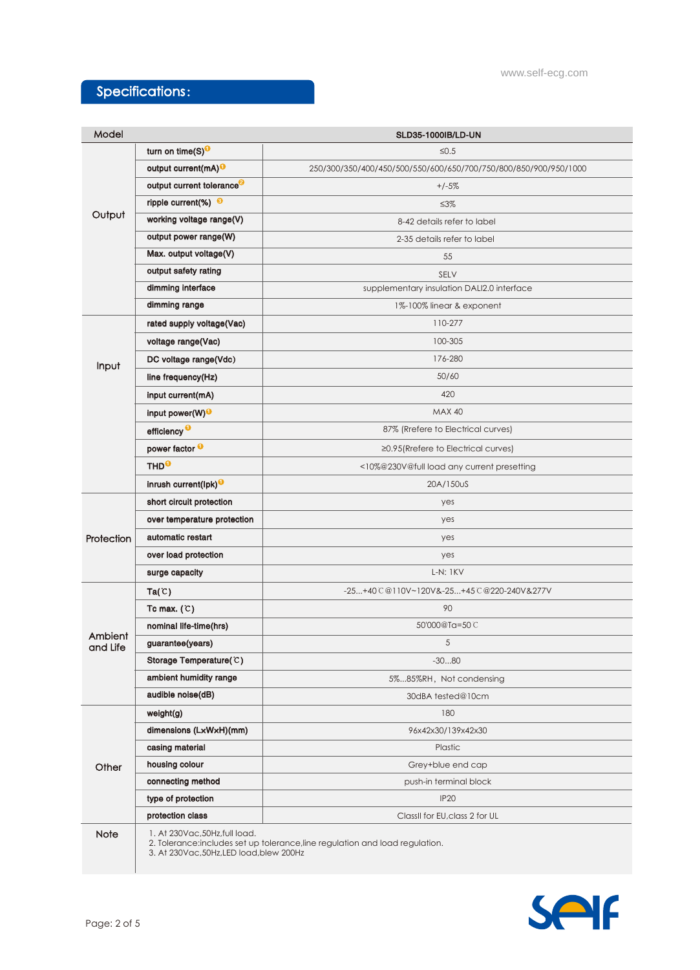# Specifications:

| Model               |                                                                                                                 | <b>SLD35-1000IB/LD-UN</b>                                        |
|---------------------|-----------------------------------------------------------------------------------------------------------------|------------------------------------------------------------------|
| Output              | turn on time(S) <sup>0</sup>                                                                                    | $\leq 0.5$                                                       |
|                     | output current(mA) <sup>O</sup>                                                                                 | 250/300/350/400/450/500/550/600/650/700/750/800/850/900/950/1000 |
|                     | output current tolerance <sup>3</sup>                                                                           | $+/-5%$                                                          |
|                     | ripple current(%) $\Theta$                                                                                      | $\leq 3\%$                                                       |
|                     | working voltage range(V)                                                                                        | 8-42 details refer to label                                      |
|                     | output power range(W)                                                                                           | 2-35 details refer to label                                      |
|                     | Max. output voltage(V)                                                                                          | 55                                                               |
|                     | output safety rating                                                                                            | SELV                                                             |
|                     | dimming interface                                                                                               | supplementary insulation DALI2.0 interface                       |
|                     | dimming range                                                                                                   | 1%-100% linear & exponent                                        |
| Input               | rated supply voltage(Vac)                                                                                       | 110-277                                                          |
|                     | voltage range(Vac)                                                                                              | 100-305                                                          |
|                     | DC voltage range(Vdc)                                                                                           | 176-280                                                          |
|                     | line frequency(Hz)                                                                                              | 50/60                                                            |
|                     | input current(mA)                                                                                               | 420                                                              |
|                     | input power(W) <sup>O</sup>                                                                                     | <b>MAX 40</b>                                                    |
|                     | efficiency <sup>O</sup>                                                                                         | 87% (Rrefere to Electrical curves)                               |
|                     | power factor <sup>0</sup>                                                                                       | ≥0.95(Rrefere to Electrical curves)                              |
|                     | THD <sup>O</sup>                                                                                                | <10%@230V@full load any current presetting                       |
|                     | inrush current(lpk) <sup>0</sup>                                                                                | 20A/150uS                                                        |
| Protection          | short circuit protection                                                                                        | yes                                                              |
|                     | over temperature protection                                                                                     | yes                                                              |
|                     | automatic restart                                                                                               | yes                                                              |
|                     | over load protection                                                                                            | yes                                                              |
|                     | surge capacity                                                                                                  | L-N: 1KV                                                         |
| Ambient<br>and Life | Ta(C)                                                                                                           | -25+40 C @110V~120V&-25+45 C @220-240V&277V                      |
|                     | Tc max. $(C)$                                                                                                   | 90                                                               |
|                     | nominal life-time(hrs)                                                                                          | 50'000@Ta=50C                                                    |
|                     | guarantee(years)                                                                                                | 5                                                                |
|                     | Storage Temperature(C)                                                                                          | $-3080$                                                          |
|                     | ambient humidity range                                                                                          | 5%85%RH, Not condensing                                          |
|                     | audible noise(dB)                                                                                               | 30dBA tested@10cm                                                |
| Other               | weight(g)                                                                                                       | 180                                                              |
|                     | dimensions (LxWxH)(mm)                                                                                          | 96x42x30/139x42x30                                               |
|                     | casing material                                                                                                 | Plastic                                                          |
|                     | housing colour                                                                                                  | Grey+blue end cap                                                |
|                     | connecting method                                                                                               | push-in terminal block                                           |
|                     | type of protection                                                                                              | <b>IP20</b>                                                      |
|                     | protection class                                                                                                | ClassII for EU, class 2 for UL                                   |
| Note                | 1. At 230Vac, 50Hz, full load.<br>2. Tolerance: includes set up tolerance, line regulation and load regulation. |                                                                  |

3. At 230Vac,50Hz,LED load,blew 200Hz

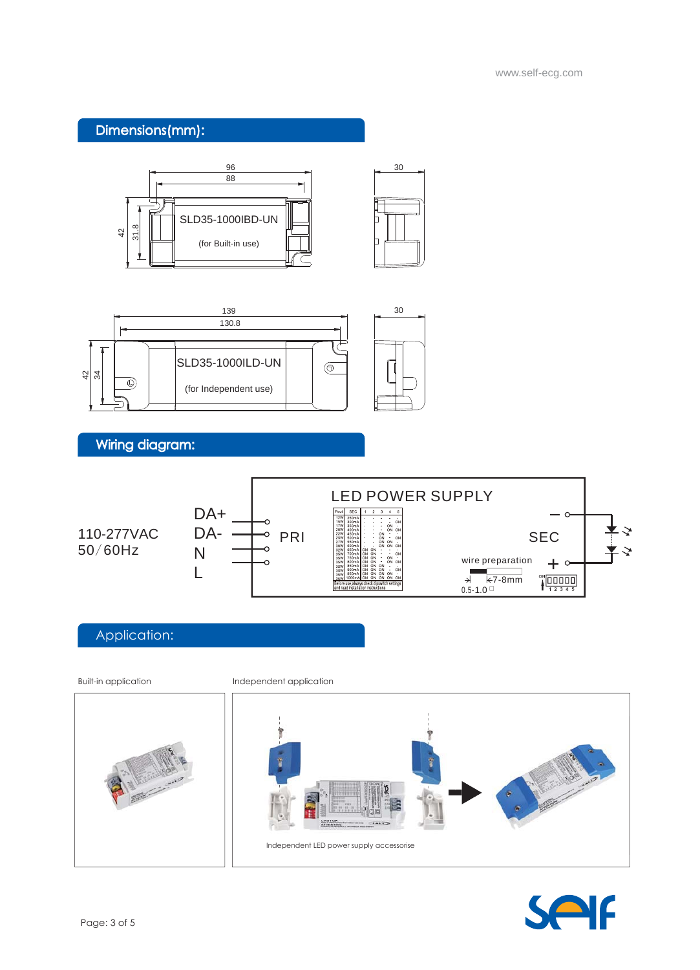### Dimensions(mm):





## Wiring diagram:



#### Application:

Built-in application **Independent application**